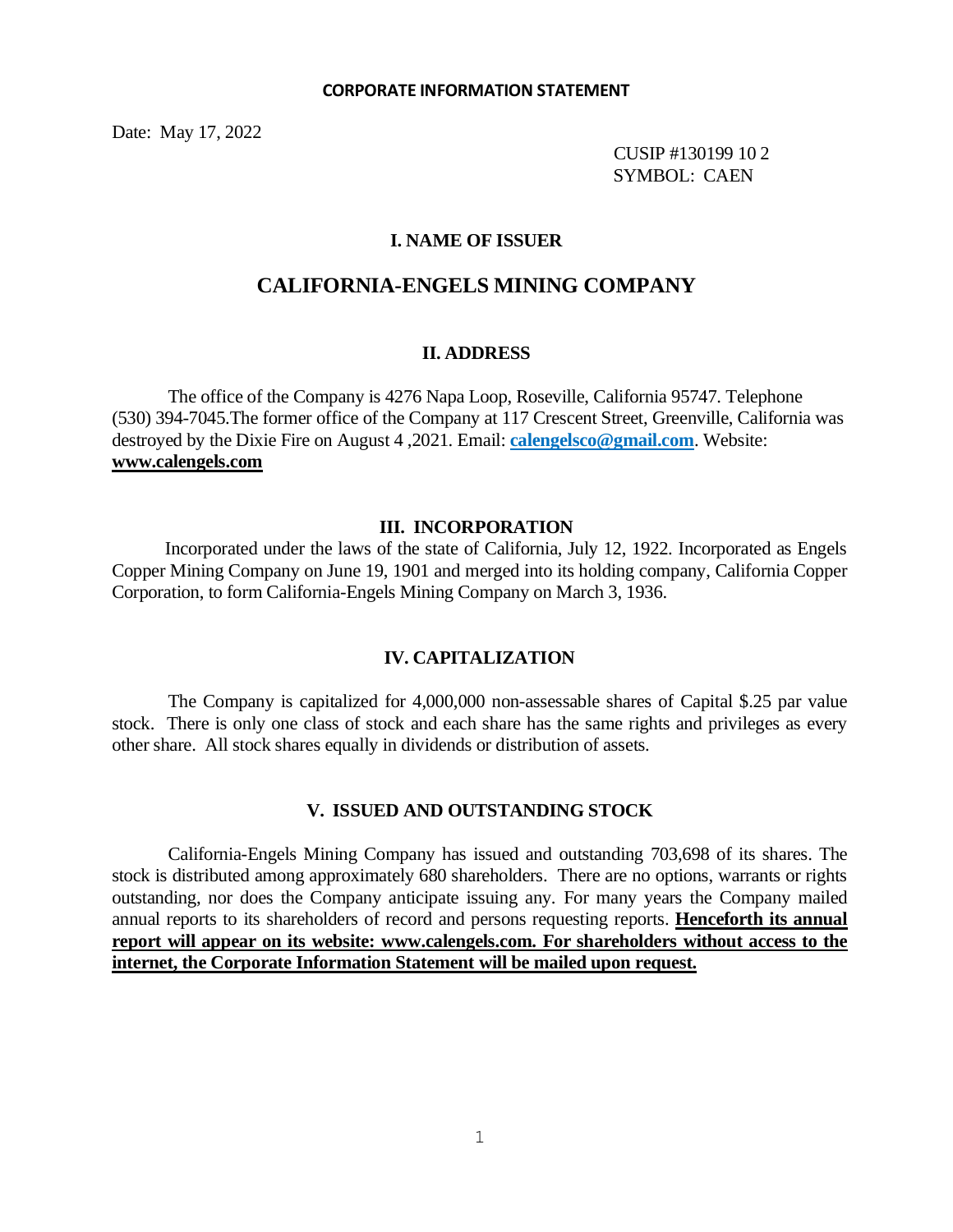Date: May 17, 2022

 CUSIP #130199 10 2 SYMBOL: CAEN

### **I. NAME OF ISSUER**

# **CALIFORNIA-ENGELS MINING COMPANY**

#### **II. ADDRESS**

The office of the Company is 4276 Napa Loop, Roseville, California 95747. Telephone (530) 394-7045.The former office of the Company at 117 Crescent Street, Greenville, California was destroyed by the Dixie Fire on August 4 ,2021. Email: **calengelsco@gmail.com**. Website: **www.calengels.com**

#### **III. INCORPORATION**

 Incorporated under the laws of the state of California, July 12, 1922. Incorporated as Engels Copper Mining Company on June 19, 1901 and merged into its holding company, California Copper Corporation, to form California-Engels Mining Company on March 3, 1936.

### **IV. CAPITALIZATION**

The Company is capitalized for 4,000,000 non-assessable shares of Capital \$.25 par value stock. There is only one class of stock and each share has the same rights and privileges as every other share. All stock shares equally in dividends or distribution of assets.

#### **V. ISSUED AND OUTSTANDING STOCK**

California-Engels Mining Company has issued and outstanding 703,698 of its shares. The stock is distributed among approximately 680 shareholders. There are no options, warrants or rights outstanding, nor does the Company anticipate issuing any. For many years the Company mailed annual reports to its shareholders of record and persons requesting reports. **Henceforth its annual report will appear on its website: www.calengels.com. For shareholders without access to the internet, the Corporate Information Statement will be mailed upon request.**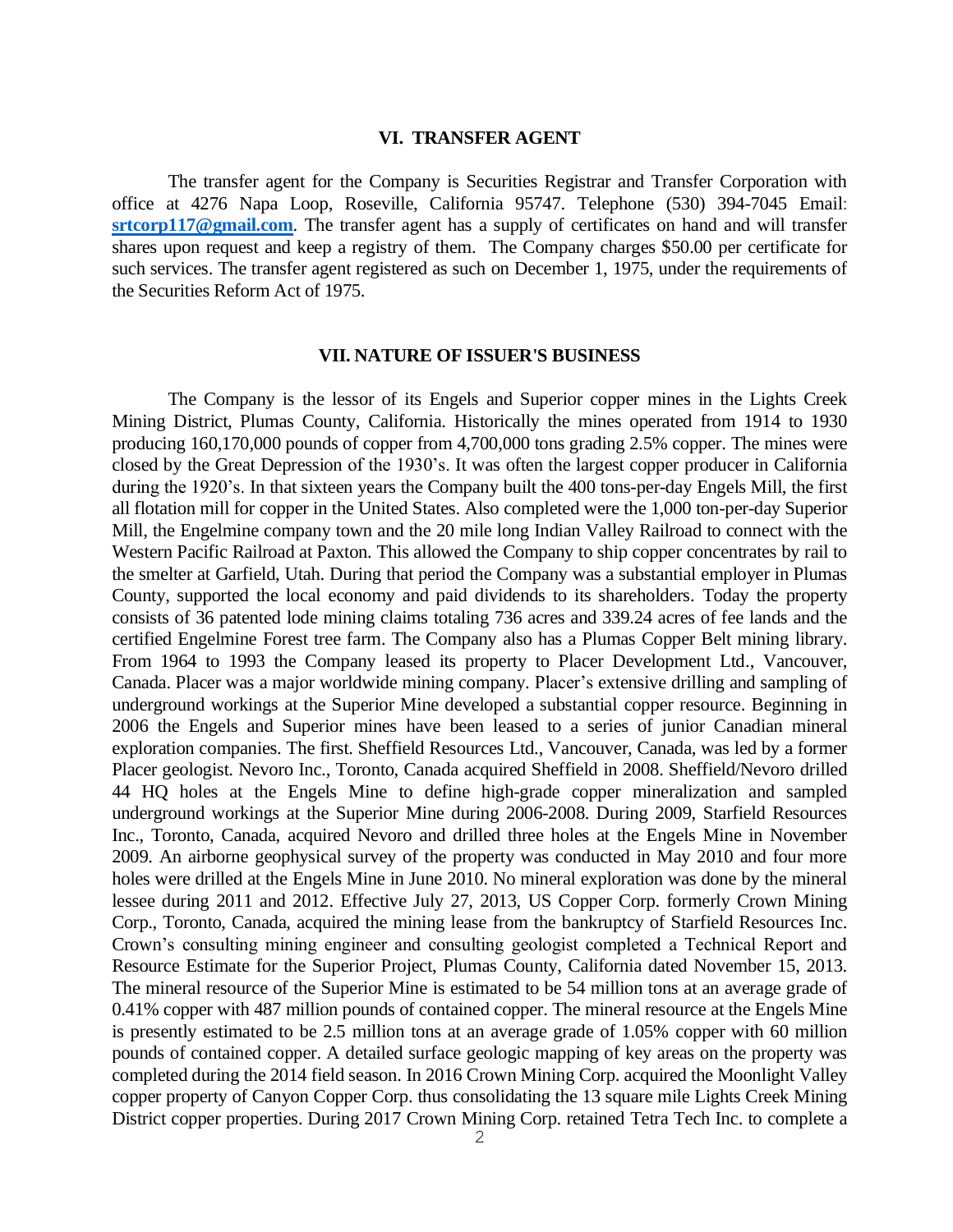#### **VI. TRANSFER AGENT**

The transfer agent for the Company is Securities Registrar and Transfer Corporation with office at 4276 Napa Loop, Roseville, California 95747. Telephone (530) 394-7045 Email: **[srtcorp117@gmail.com](mailto:srtcorp117@gmail.com)**. The transfer agent has a supply of certificates on hand and will transfer shares upon request and keep a registry of them. The Company charges \$50.00 per certificate for such services. The transfer agent registered as such on December 1, 1975, under the requirements of the Securities Reform Act of 1975.

#### **VII. NATURE OF ISSUER'S BUSINESS**

The Company is the lessor of its Engels and Superior copper mines in the Lights Creek Mining District, Plumas County, California. Historically the mines operated from 1914 to 1930 producing 160,170,000 pounds of copper from 4,700,000 tons grading 2.5% copper. The mines were closed by the Great Depression of the 1930's. It was often the largest copper producer in California during the 1920's. In that sixteen years the Company built the 400 tons-per-day Engels Mill, the first all flotation mill for copper in the United States. Also completed were the 1,000 ton-per-day Superior Mill, the Engelmine company town and the 20 mile long Indian Valley Railroad to connect with the Western Pacific Railroad at Paxton. This allowed the Company to ship copper concentrates by rail to the smelter at Garfield, Utah. During that period the Company was a substantial employer in Plumas County, supported the local economy and paid dividends to its shareholders. Today the property consists of 36 patented lode mining claims totaling 736 acres and 339.24 acres of fee lands and the certified Engelmine Forest tree farm. The Company also has a Plumas Copper Belt mining library. From 1964 to 1993 the Company leased its property to Placer Development Ltd., Vancouver, Canada. Placer was a major worldwide mining company. Placer's extensive drilling and sampling of underground workings at the Superior Mine developed a substantial copper resource. Beginning in 2006 the Engels and Superior mines have been leased to a series of junior Canadian mineral exploration companies. The first. Sheffield Resources Ltd., Vancouver, Canada, was led by a former Placer geologist. Nevoro Inc., Toronto, Canada acquired Sheffield in 2008. Sheffield/Nevoro drilled 44 HQ holes at the Engels Mine to define high-grade copper mineralization and sampled underground workings at the Superior Mine during 2006-2008. During 2009, Starfield Resources Inc., Toronto, Canada, acquired Nevoro and drilled three holes at the Engels Mine in November 2009. An airborne geophysical survey of the property was conducted in May 2010 and four more holes were drilled at the Engels Mine in June 2010. No mineral exploration was done by the mineral lessee during 2011 and 2012. Effective July 27, 2013, US Copper Corp. formerly Crown Mining Corp., Toronto, Canada, acquired the mining lease from the bankruptcy of Starfield Resources Inc. Crown's consulting mining engineer and consulting geologist completed a Technical Report and Resource Estimate for the Superior Project, Plumas County, California dated November 15, 2013. The mineral resource of the Superior Mine is estimated to be 54 million tons at an average grade of 0.41% copper with 487 million pounds of contained copper. The mineral resource at the Engels Mine is presently estimated to be 2.5 million tons at an average grade of 1.05% copper with 60 million pounds of contained copper. A detailed surface geologic mapping of key areas on the property was completed during the 2014 field season. In 2016 Crown Mining Corp. acquired the Moonlight Valley copper property of Canyon Copper Corp. thus consolidating the 13 square mile Lights Creek Mining District copper properties. During 2017 Crown Mining Corp. retained Tetra Tech Inc. to complete a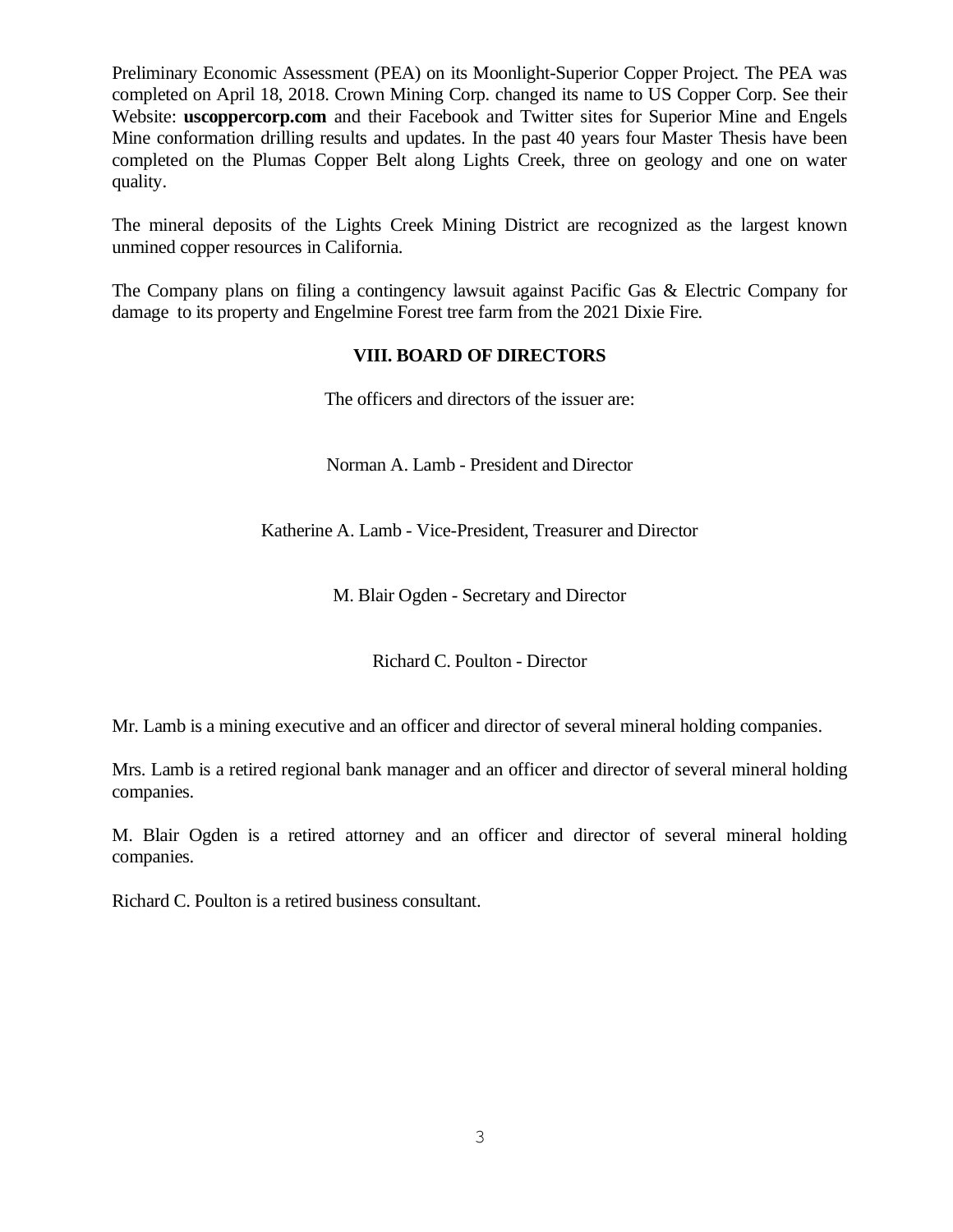Preliminary Economic Assessment (PEA) on its Moonlight-Superior Copper Project. The PEA was completed on April 18, 2018. Crown Mining Corp. changed its name to US Copper Corp. See their Website: **uscoppercorp.com** and their Facebook and Twitter sites for Superior Mine and Engels Mine conformation drilling results and updates. In the past 40 years four Master Thesis have been completed on the Plumas Copper Belt along Lights Creek, three on geology and one on water quality.

The mineral deposits of the Lights Creek Mining District are recognized as the largest known unmined copper resources in California.

The Company plans on filing a contingency lawsuit against Pacific Gas & Electric Company for damage to its property and Engelmine Forest tree farm from the 2021 Dixie Fire.

## **VIII. BOARD OF DIRECTORS**

The officers and directors of the issuer are:

Norman A. Lamb - President and Director

Katherine A. Lamb - Vice-President, Treasurer and Director

M. Blair Ogden - Secretary and Director

Richard C. Poulton - Director

Mr. Lamb is a mining executive and an officer and director of several mineral holding companies.

Mrs. Lamb is a retired regional bank manager and an officer and director of several mineral holding companies.

M. Blair Ogden is a retired attorney and an officer and director of several mineral holding companies.

Richard C. Poulton is a retired business consultant.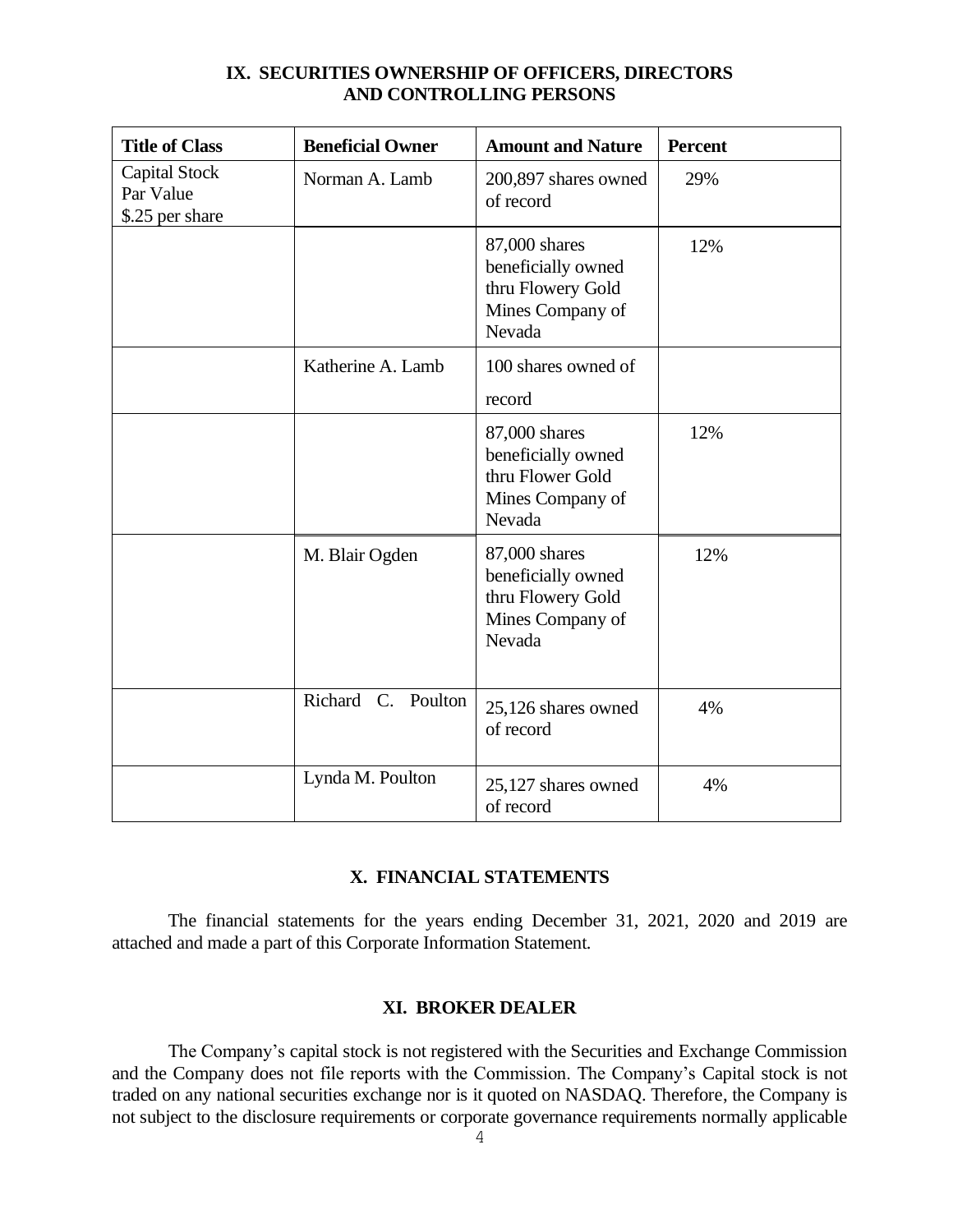| <b>Title of Class</b>                                | <b>Beneficial Owner</b> | <b>Amount and Nature</b>                                                               | <b>Percent</b> |
|------------------------------------------------------|-------------------------|----------------------------------------------------------------------------------------|----------------|
| <b>Capital Stock</b><br>Par Value<br>\$.25 per share | Norman A. Lamb          | 200,897 shares owned<br>of record                                                      | 29%            |
|                                                      |                         | 87,000 shares<br>beneficially owned<br>thru Flowery Gold<br>Mines Company of<br>Nevada | 12%            |
|                                                      | Katherine A. Lamb       | 100 shares owned of<br>record                                                          |                |
|                                                      |                         | 87,000 shares<br>beneficially owned<br>thru Flower Gold<br>Mines Company of<br>Nevada  | 12%            |
|                                                      | M. Blair Ogden          | 87,000 shares<br>beneficially owned<br>thru Flowery Gold<br>Mines Company of<br>Nevada | 12%            |
|                                                      | Richard C. Poulton      | 25,126 shares owned<br>of record                                                       | 4%             |
|                                                      | Lynda M. Poulton        | 25,127 shares owned<br>of record                                                       | 4%             |

## **IX. SECURITIES OWNERSHIP OF OFFICERS, DIRECTORS AND CONTROLLING PERSONS**

## **X. FINANCIAL STATEMENTS**

The financial statements for the years ending December 31, 2021, 2020 and 2019 are attached and made a part of this Corporate Information Statement.

### **XI. BROKER DEALER**

The Company's capital stock is not registered with the Securities and Exchange Commission and the Company does not file reports with the Commission. The Company's Capital stock is not traded on any national securities exchange nor is it quoted on NASDAQ. Therefore, the Company is not subject to the disclosure requirements or corporate governance requirements normally applicable